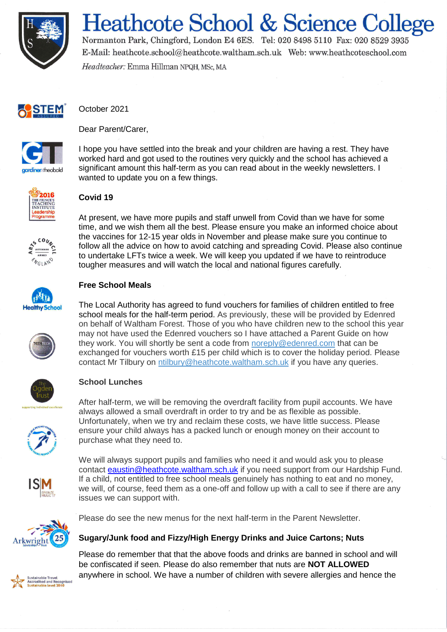

# **Heathcote School & Science College**

Normanton Park, Chingford, London E4 6ES. Tel: 020 8498 5110 Fax: 020 8529 3935 E-Mail: heathcote.school@heathcote.waltham.sch.uk Web: www.heathcoteschool.com Headteacher: Emma Hillman NPQH, MSc, MA



October 2021



Dear Parent/Carer

I hope you have settled into the break and your children are having a rest. They have worked hard and got used to the routines very quickly and the school has achieved a significant amount this half-term as you can read about in the weekly newsletters. I wanted to update you on a few things.

At present, we have more pupils and staff unwell from Covid than we have for some time, and we wish them all the best. Please ensure you make an informed choice about



# **Covid 19**



the vaccines for 12-15 year olds in November and please make sure you continue to follow all the advice on how to avoid catching and spreading Covid. Please also continue to undertake LFTs twice a week. We will keep you updated if we have to reintroduce tougher measures and will watch the local and national figures carefully.



## **Free School Meals**

The Local Authority has agreed to fund vouchers for families of children entitled to free school meals for the half-term period. As previously, these will be provided by Edenred on behalf of Waltham Forest. Those of you who have children new to the school this year may not have used the Edenred vouchers so I have attached a Parent Guide on how they work. You will shortly be sent a code from [noreply@edenred.com](mailto:noreply@edenred.com) that can be exchanged for vouchers worth £15 per child which is to cover the holiday period. Please contact Mr Tilbury on [ntilbury@heathcote.waltham.sch.uk](mailto:ntilbury@heathcote.waltham.sch.uk) if you have any queries.



## **School Lunches**

After half-term, we will be removing the overdraft facility from pupil accounts. We have always allowed a small overdraft in order to try and be as flexible as possible. Unfortunately, when we try and reclaim these costs, we have little success. Please ensure your child always has a packed lunch or enough money on their account to purchase what they need to.

We will always support pupils and families who need it and would ask you to please contact [eaustin@heathcote.waltham.sch.uk](mailto:eaustin@heathcote.waltham.sch.uk) if you need support from our Hardship Fund. If a child, not entitled to free school meals genuinely has nothing to eat and no money, we will, of course, feed them as a one-off and follow up with a call to see if there are any issues we can support with.



Please do see the new menus for the next half-term in the Parent Newsletter.

## **Sugary/Junk food and Fizzy/High Energy Drinks and Juice Cartons; Nuts**

**Sustainable Travel** Accredited and Recogn<br>Sustainable level 2010

Please do remember that that the above foods and drinks are banned in school and will be confiscated if seen. Please do also remember that nuts are **NOT ALLOWED** anywhere in school. We have a number of children with severe allergies and hence the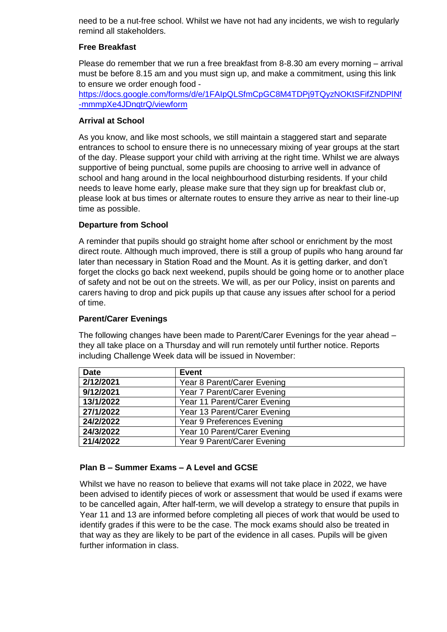need to be a nut-free school. Whilst we have not had any incidents, we wish to regularly remind all stakeholders.

#### **Free Breakfast**

Please do remember that we run a free breakfast from 8-8.30 am every morning – arrival must be before 8.15 am and you must sign up, and make a commitment, using this link to ensure we order enough food -

[https://docs.google.com/forms/d/e/1FAIpQLSfmCpGC8M4TDPj9TQyzNOKtSFifZNDPlNf](https://docs.google.com/forms/d/e/1FAIpQLSfmCpGC8M4TDPj9TQyzNOKtSFifZNDPlNf-mmmpXe4JDnqtrQ/viewform) [-mmmpXe4JDnqtrQ/viewform](https://docs.google.com/forms/d/e/1FAIpQLSfmCpGC8M4TDPj9TQyzNOKtSFifZNDPlNf-mmmpXe4JDnqtrQ/viewform)

#### **Arrival at School**

As you know, and like most schools, we still maintain a staggered start and separate entrances to school to ensure there is no unnecessary mixing of year groups at the start of the day. Please support your child with arriving at the right time. Whilst we are always supportive of being punctual, some pupils are choosing to arrive well in advance of school and hang around in the local neighbourhood disturbing residents. If your child needs to leave home early, please make sure that they sign up for breakfast club or, please look at bus times or alternate routes to ensure they arrive as near to their line-up time as possible.

#### **Departure from School**

A reminder that pupils should go straight home after school or enrichment by the most direct route. Although much improved, there is still a group of pupils who hang around far later than necessary in Station Road and the Mount. As it is getting darker, and don't forget the clocks go back next weekend, pupils should be going home or to another place of safety and not be out on the streets. We will, as per our Policy, insist on parents and carers having to drop and pick pupils up that cause any issues after school for a period of time.

#### **Parent/Carer Evenings**

The following changes have been made to Parent/Carer Evenings for the year ahead – they all take place on a Thursday and will run remotely until further notice. Reports including Challenge Week data will be issued in November:

| <b>Date</b> | <b>Event</b>                 |
|-------------|------------------------------|
| 2/12/2021   | Year 8 Parent/Carer Evening  |
| 9/12/2021   | Year 7 Parent/Carer Evening  |
| 13/1/2022   | Year 11 Parent/Carer Evening |
| 27/1/2022   | Year 13 Parent/Carer Evening |
| 24/2/2022   | Year 9 Preferences Evening   |
| 24/3/2022   | Year 10 Parent/Carer Evening |
| 21/4/2022   | Year 9 Parent/Carer Evening  |

#### **Plan B – Summer Exams – A Level and GCSE**

Whilst we have no reason to believe that exams will not take place in 2022, we have been advised to identify pieces of work or assessment that would be used if exams were to be cancelled again, After half-term, we will develop a strategy to ensure that pupils in Year 11 and 13 are informed before completing all pieces of work that would be used to identify grades if this were to be the case. The mock exams should also be treated in that way as they are likely to be part of the evidence in all cases. Pupils will be given further information in class.